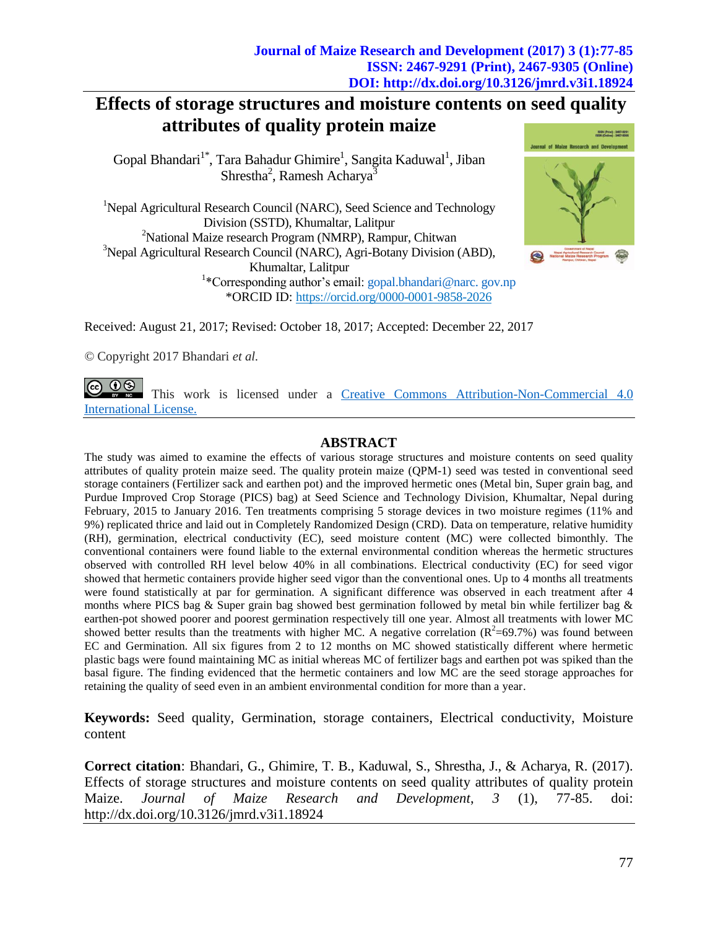# **Effects of storage structures and moisture contents on seed quality attributes of quality protein maize**

Gopal Bhandari<sup>1\*</sup>, Tara Bahadur Ghimire<sup>1</sup>, Sangita Kaduwal<sup>1</sup>, Jiban Shrestha<sup>2</sup>, Ramesh Acharya<sup>3</sup>

<sup>1</sup>Nepal Agricultural Research Council (NARC), Seed Science and Technology Division (SSTD), Khumaltar, Lalitpur <sup>2</sup>National Maize research Program (NMRP), Rampur, Chitwan <sup>3</sup>Nepal Agricultural Research Council (NARC), Agri-Botany Division (ABD), Khumaltar, Lalitpur <sup>1</sup>\*Corresponding author's email: [gopal.bhandari@narc. gov.np](mailto:gopal.bhandari@narc.%20gov.np) \*ORCID ID: https://orcid.org/0000-0001-9858-2026



Received: August 21, 2017; Revised: October 18, 2017; Accepted: December 22, 2017

*©* Copyright 2017 Bhandari *et al.*

(ஓ ⊕ ® This work is licensed under a [Creative Commons Attribution-Non-Commercial 4.0](https://creativecommons.org/licenses/by-nc/4.0/legalcode)  [International](https://creativecommons.org/licenses/by-nc/4.0/legalcode) License.

# **ABSTRACT**

The study was aimed to examine the effects of various storage structures and moisture contents on seed quality attributes of quality protein maize seed. The quality protein maize (QPM-1) seed was tested in conventional seed storage containers (Fertilizer sack and earthen pot) and the improved hermetic ones (Metal bin, Super grain bag, and Purdue Improved Crop Storage (PICS) bag) at Seed Science and Technology Division, Khumaltar, Nepal during February, 2015 to January 2016. Ten treatments comprising 5 storage devices in two moisture regimes (11% and 9%) replicated thrice and laid out in Completely Randomized Design (CRD). Data on temperature, relative humidity (RH), germination, electrical conductivity (EC), seed moisture content (MC) were collected bimonthly. The conventional containers were found liable to the external environmental condition whereas the hermetic structures observed with controlled RH level below 40% in all combinations. Electrical conductivity (EC) for seed vigor showed that hermetic containers provide higher seed vigor than the conventional ones. Up to 4 months all treatments were found statistically at par for germination. A significant difference was observed in each treatment after 4 months where PICS bag & Super grain bag showed best germination followed by metal bin while fertilizer bag & earthen-pot showed poorer and poorest germination respectively till one year. Almost all treatments with lower MC showed better results than the treatments with higher MC. A negative correlation  $(R^2=69.7%)$  was found between EC and Germination. All six figures from 2 to 12 months on MC showed statistically different where hermetic plastic bags were found maintaining MC as initial whereas MC of fertilizer bags and earthen pot was spiked than the basal figure. The finding evidenced that the hermetic containers and low MC are the seed storage approaches for retaining the quality of seed even in an ambient environmental condition for more than a year.

**Keywords:** Seed quality, Germination, storage containers, Electrical conductivity, Moisture content

**Correct citation**: Bhandari, G., Ghimire, T. B., Kaduwal, S., Shrestha, J., & Acharya, R. (2017). Effects of storage structures and moisture contents on seed quality attributes of quality protein Maize. *Journal of Maize Research and Development*, *3* (1), 77-85. doi: <http://dx.doi.org/10.3126/jmrd.v3i1.18924>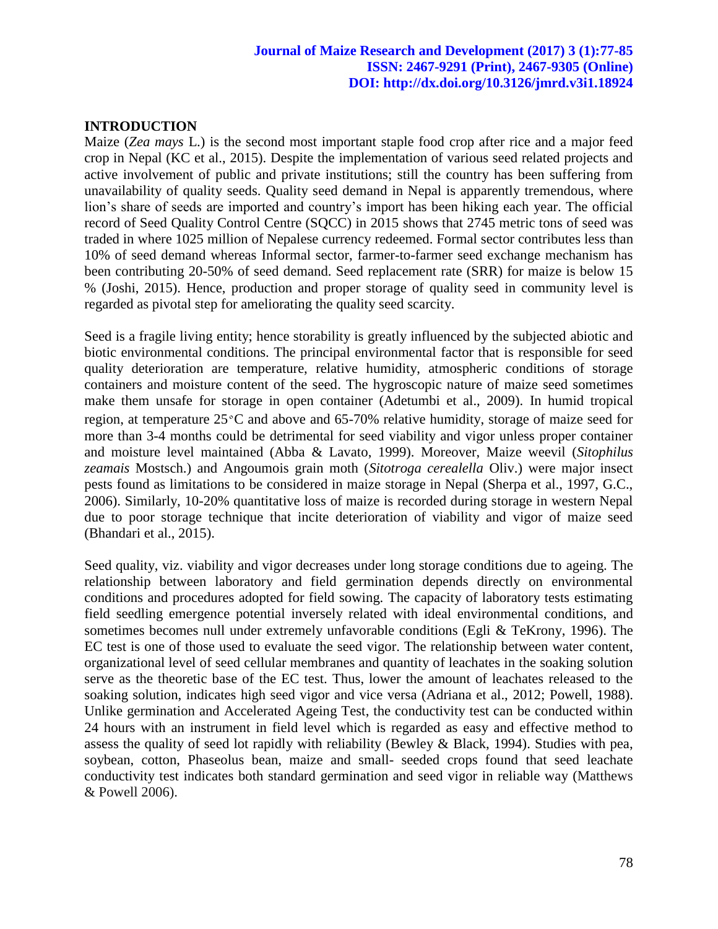## **INTRODUCTION**

Maize (*Zea mays* L.) is the second most important staple food crop after rice and a major feed crop in Nepal (KC et al., 2015). Despite the implementation of various seed related projects and active involvement of public and private institutions; still the country has been suffering from unavailability of quality seeds. Quality seed demand in Nepal is apparently tremendous, where lion's share of seeds are imported and country's import has been hiking each year. The official record of Seed Quality Control Centre (SQCC) in 2015 shows that 2745 metric tons of seed was traded in where 1025 million of Nepalese currency redeemed. Formal sector contributes less than 10% of seed demand whereas Informal sector, farmer-to-farmer seed exchange mechanism has been contributing 20-50% of seed demand. Seed replacement rate (SRR) for maize is below 15 % (Joshi, 2015). Hence, production and proper storage of quality seed in community level is regarded as pivotal step for ameliorating the quality seed scarcity.

Seed is a fragile living entity; hence storability is greatly influenced by the subjected abiotic and biotic environmental conditions. The principal environmental factor that is responsible for seed quality deterioration are temperature, relative humidity, atmospheric conditions of storage containers and moisture content of the seed. The hygroscopic nature of maize seed sometimes make them unsafe for storage in open container (Adetumbi et al., 2009). In humid tropical region, at temperature 25<sup>०</sup>C and above and 65-70% relative humidity, storage of maize seed for more than 3-4 months could be detrimental for seed viability and vigor unless proper container and moisture level maintained (Abba & Lavato, 1999). Moreover, Maize weevil (*Sitophilus zeamais* Mostsch.) and Angoumois grain moth (*Sitotroga cerealella* Oliv.) were major insect pests found as limitations to be considered in maize storage in Nepal (Sherpa et al., 1997, G.C., 2006). Similarly, 10-20% quantitative loss of maize is recorded during storage in western Nepal due to poor storage technique that incite deterioration of viability and vigor of maize seed (Bhandari et al., 2015).

Seed quality, viz. viability and vigor decreases under long storage conditions due to ageing. The relationship between laboratory and field germination depends directly on environmental conditions and procedures adopted for field sowing. The capacity of laboratory tests estimating field seedling emergence potential inversely related with ideal environmental conditions, and sometimes becomes null under extremely unfavorable conditions (Egli & TeKrony, 1996). The EC test is one of those used to evaluate the seed vigor. The relationship between water content, organizational level of seed cellular membranes and quantity of leachates in the soaking solution serve as the theoretic base of the EC test. Thus, lower the amount of leachates released to the soaking solution, indicates high seed vigor and vice versa (Adriana et al., 2012; Powell, 1988). Unlike germination and Accelerated Ageing Test, the conductivity test can be conducted within 24 hours with an instrument in field level which is regarded as easy and effective method to assess the quality of seed lot rapidly with reliability (Bewley & Black, 1994). Studies with pea, soybean, cotton, Phaseolus bean, maize and small- seeded crops found that seed leachate conductivity test indicates both standard germination and seed vigor in reliable way (Matthews & Powell 2006).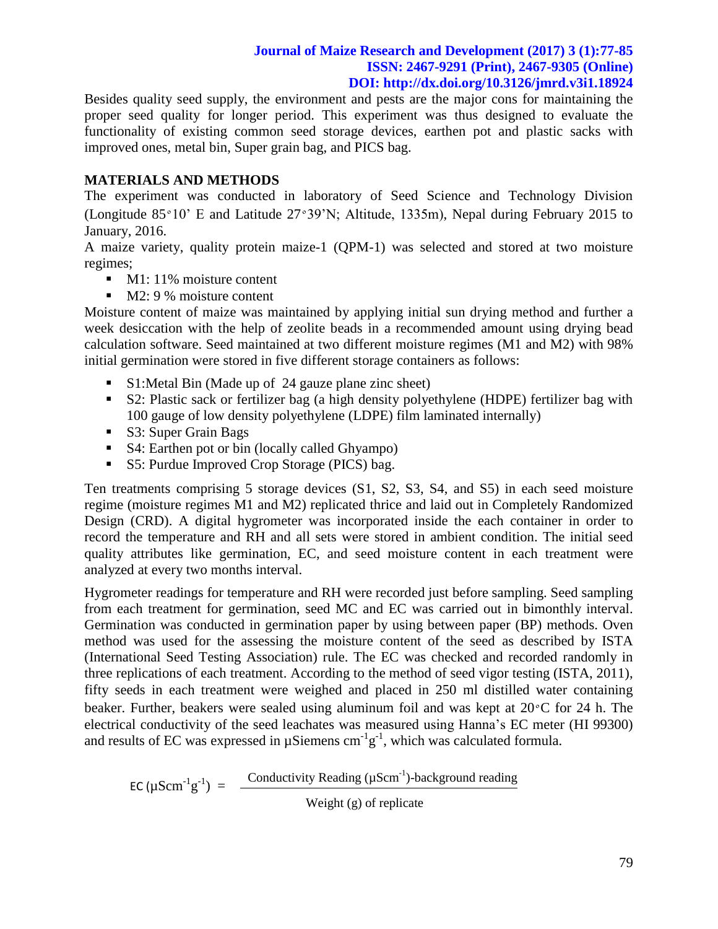Besides quality seed supply, the environment and pests are the major cons for maintaining the proper seed quality for longer period. This experiment was thus designed to evaluate the functionality of existing common seed storage devices, earthen pot and plastic sacks with improved ones, metal bin, Super grain bag, and PICS bag.

## **MATERIALS AND METHODS**

The experiment was conducted in laboratory of Seed Science and Technology Division (Longitude 85<sup>०</sup>10' E and Latitude 27<sup>०</sup>39'N; Altitude, 1335m), Nepal during February 2015 to January, 2016.

A maize variety, quality protein maize-1 (QPM-1) was selected and stored at two moisture regimes;

- $\blacksquare$  M1: 11% moisture content
- $\blacksquare$  M2: 9 % moisture content

Moisture content of maize was maintained by applying initial sun drying method and further a week desiccation with the help of zeolite beads in a recommended amount using drying bead calculation software. Seed maintained at two different moisture regimes (M1 and M2) with 98% initial germination were stored in five different storage containers as follows:

- S1: Metal Bin (Made up of 24 gauze plane zinc sheet)
- S2: Plastic sack or fertilizer bag (a high density polyethylene (HDPE) fertilizer bag with 100 gauge of low density polyethylene (LDPE) film laminated internally)
- S3: Super Grain Bags
- S4: Earthen pot or bin (locally called Ghyampo)
- S5: Purdue Improved Crop Storage (PICS) bag.

Ten treatments comprising 5 storage devices (S1, S2, S3, S4, and S5) in each seed moisture regime (moisture regimes M1 and M2) replicated thrice and laid out in Completely Randomized Design (CRD). A digital hygrometer was incorporated inside the each container in order to record the temperature and RH and all sets were stored in ambient condition. The initial seed quality attributes like germination, EC, and seed moisture content in each treatment were analyzed at every two months interval.

Hygrometer readings for temperature and RH were recorded just before sampling. Seed sampling from each treatment for germination, seed MC and EC was carried out in bimonthly interval. Germination was conducted in germination paper by using between paper (BP) methods. Oven method was used for the assessing the moisture content of the seed as described by ISTA (International Seed Testing Association) rule. The EC was checked and recorded randomly in three replications of each treatment. According to the method of seed vigor testing (ISTA, 2011), fifty seeds in each treatment were weighed and placed in 250 ml distilled water containing beaker. Further, beakers were sealed using aluminum foil and was kept at  $20^{\circ}$ C for 24 h. The electrical conductivity of the seed leachates was measured using Hanna's EC meter (HI 99300) and results of EC was expressed in  $\mu$ Siemens cm<sup>-1</sup>g<sup>-1</sup>, which was calculated formula.

EC ( $\mu \text{Scm}^{-1} \text{g}^{-1}$ ) =  $\frac{\text{Conductivity Reading } (\mu \text{Scm}^{-1})\text{-background reading}}{\text{Conductivity}$ Weight (g) of replicate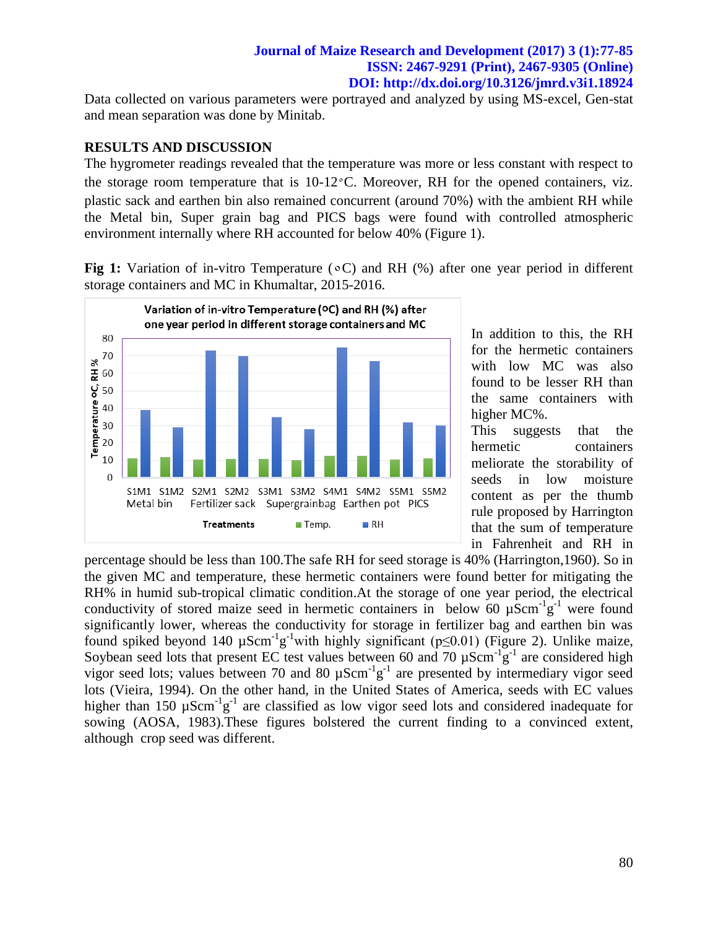Data collected on various parameters were portrayed and analyzed by using MS-excel, Gen-stat and mean separation was done by Minitab.

## **RESULTS AND DISCUSSION**

The hygrometer readings revealed that the temperature was more or less constant with respect to the storage room temperature that is  $10-12\degree C$ . Moreover, RH for the opened containers, viz. plastic sack and earthen bin also remained concurrent (around 70%) with the ambient RH while the Metal bin, Super grain bag and PICS bags were found with controlled atmospheric environment internally where RH accounted for below 40% (Figure 1).

**Fig 1:** Variation of in-vitro Temperature ( $\circ$ C) and RH (%) after one year period in different storage containers and MC in Khumaltar, 2015-2016.



In addition to this, the RH for the hermetic containers with low MC was also found to be lesser RH than the same containers with higher MC%.

This suggests that the hermetic containers meliorate the storability of seeds in low moisture content as per the thumb rule proposed by Harrington that the sum of temperature in Fahrenheit and RH in

percentage should be less than 100.The safe RH for seed storage is 40% (Harrington,1960). So in the given MC and temperature, these hermetic containers were found better for mitigating the RH% in humid sub-tropical climatic condition.At the storage of one year period, the electrical conductivity of stored maize seed in hermetic containers in below 60  $\mu$ Scm<sup>-1</sup>g<sup>-1</sup> were found significantly lower, whereas the conductivity for storage in fertilizer bag and earthen bin was found spiked beyond 140  $\mu$ Scm<sup>-1</sup>g<sup>-1</sup>with highly significant (p≤0.01) (Figure 2). Unlike maize, Soybean seed lots that present EC test values between 60 and 70  $\mu$ Scm<sup>-1</sup>g<sup>-1</sup> are considered high vigor seed lots; values between 70 and 80  $\mu$ Scm<sup>-1</sup>g<sup>-1</sup> are presented by intermediary vigor seed lots (Vieira, 1994). On the other hand, in the United States of America, seeds with EC values higher than 150  $\mu$ Scm<sup>-1</sup>g<sup>-1</sup> are classified as low vigor seed lots and considered inadequate for sowing (AOSA, 1983).These figures bolstered the current finding to a convinced extent, although crop seed was different.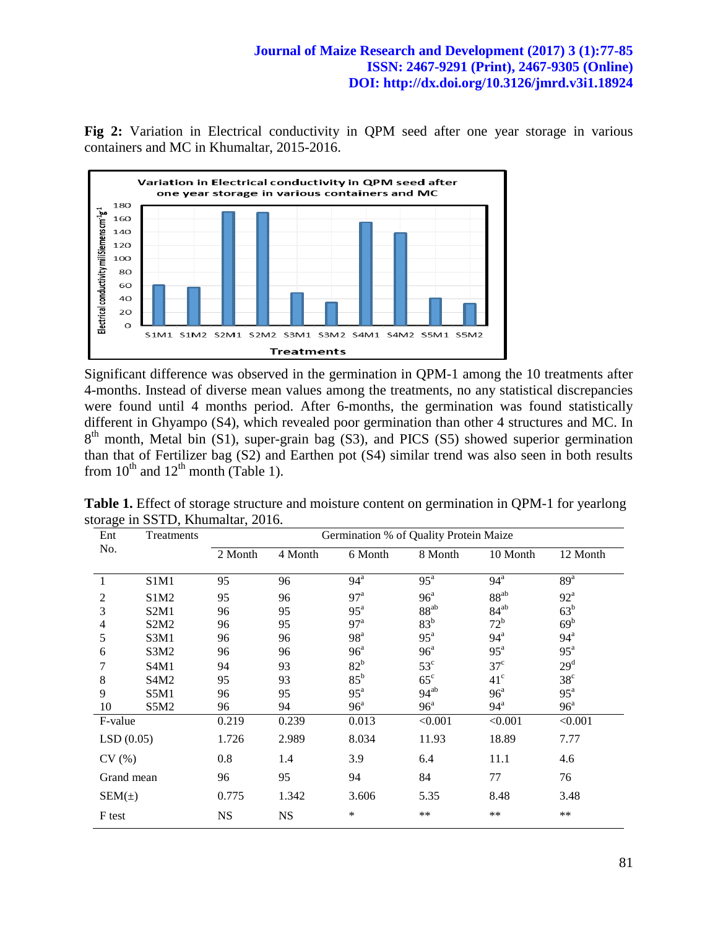**Fig 2:** Variation in Electrical conductivity in QPM seed after one year storage in various containers and MC in Khumaltar, 2015-2016.



Significant difference was observed in the germination in QPM-1 among the 10 treatments after 4-months. Instead of diverse mean values among the treatments, no any statistical discrepancies were found until 4 months period. After 6-months, the germination was found statistically different in Ghyampo (S4), which revealed poor germination than other 4 structures and MC. In  $8<sup>th</sup>$  month, Metal bin (S1), super-grain bag (S3), and PICS (S5) showed superior germination than that of Fertilizer bag (S2) and Earthen pot (S4) similar trend was also seen in both results from  $10^{th}$  and  $12^{th}$  month (Table 1).

| Ent                      | Treatments                    | Germination % of Quality Protein Maize |           |                   |                   |                   |                   |  |
|--------------------------|-------------------------------|----------------------------------------|-----------|-------------------|-------------------|-------------------|-------------------|--|
| No.                      |                               | 2 Month                                | 4 Month   | 6 Month           | 8 Month           | 10 Month          | 12 Month          |  |
|                          | S1M1                          | 95                                     | 96        | $94^{\mathrm{a}}$ | $95^{\mathrm{a}}$ | 94 <sup>a</sup>   | 89 <sup>a</sup>   |  |
| 2                        | S1M <sub>2</sub>              | 95                                     | 96        | 97 <sup>a</sup>   | 96 <sup>a</sup>   | $88^{ab}$         | $92^{\mathrm{a}}$ |  |
| $\overline{3}$           | S2M1                          | 96                                     | 95        | $95^{\mathrm{a}}$ | $88^{ab}$         | $84^{ab}$         | $63^b$            |  |
| $\overline{\mathcal{A}}$ | S <sub>2</sub> M <sub>2</sub> | 96                                     | 95        | 97 <sup>a</sup>   | 83 <sup>b</sup>   | $72^b$            | 69 <sup>b</sup>   |  |
| 5                        | S3M1                          | 96                                     | 96        | 98 <sup>a</sup>   | $95^{\mathrm{a}}$ | $94^{\mathrm{a}}$ | 94 <sup>a</sup>   |  |
| 6                        | S3M2                          | 96                                     | 96        | 96 <sup>a</sup>   | 96 <sup>a</sup>   | $95^{\mathrm{a}}$ | $95^{\mathrm{a}}$ |  |
| 7                        | S <sub>4</sub> M <sub>1</sub> | 94                                     | 93        | $82^b$            | $53^{\circ}$      | $37^{\circ}$      | 29 <sup>d</sup>   |  |
| 8                        | S <sub>4</sub> M <sub>2</sub> | 95                                     | 93        | $85^{\rm b}$      | $65^{\circ}$      | $41^{\circ}$      | $38^{\circ}$      |  |
| 9                        | S5M1                          | 96                                     | 95        | $95^{\mathrm{a}}$ | $94^{ab}$         | 96 <sup>a</sup>   | $95^{\mathrm{a}}$ |  |
| 10                       | S5M2                          | 96                                     | 94        | 96 <sup>a</sup>   | 96 <sup>a</sup>   | $94^{\mathrm{a}}$ | $96^{\circ}$      |  |
| F-value                  |                               | 0.219                                  | 0.239     | 0.013             | < 0.001           | < 0.001           | < 0.001           |  |
| LSD(0.05)                |                               | 1.726                                  | 2.989     | 8.034             | 11.93             | 18.89             | 7.77              |  |
| CV(%)                    |                               | 0.8                                    | 1.4       | 3.9               | 6.4               | 11.1              | 4.6               |  |
| Grand mean               |                               | 96                                     | 95        | 94                | 84                | 77                | 76                |  |
| $SEM(\pm)$               |                               | 0.775                                  | 1.342     | 3.606             | 5.35              | 8.48              | 3.48              |  |
| F test                   |                               | <b>NS</b>                              | <b>NS</b> | $\ast$            | $***$             | **                | $***$             |  |

Table 1. Effect of storage structure and moisture content on germination in QPM-1 for yearlong storage in SSTD, Khumaltar, 2016.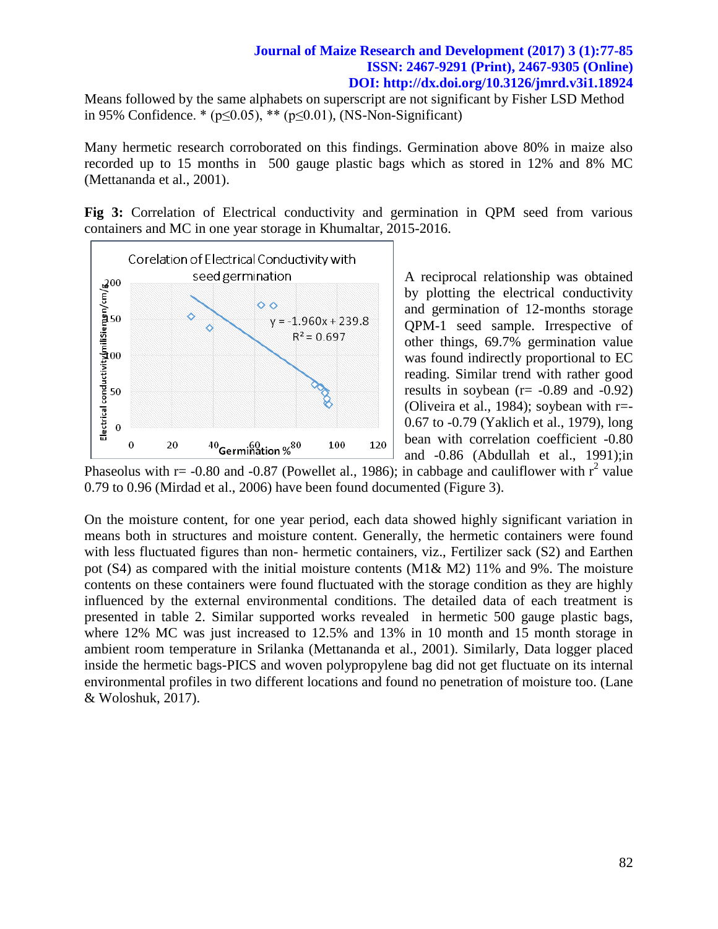Means followed by the same alphabets on superscript are not significant by Fisher LSD Method in 95% Confidence. \* ( $p \le 0.05$ ), \*\* ( $p \le 0.01$ ), (NS-Non-Significant)

Many hermetic research corroborated on this findings. Germination above 80% in maize also recorded up to 15 months in 500 gauge plastic bags which as stored in 12% and 8% MC (Mettananda et al., 2001).

**Fig 3:** Correlation of Electrical conductivity and germination in QPM seed from various containers and MC in one year storage in Khumaltar, 2015-2016.



A reciprocal relationship was obtained by plotting the electrical conductivity and germination of 12-months storage QPM-1 seed sample. Irrespective of other things, 69.7% germination value was found indirectly proportional to EC reading. Similar trend with rather good results in soybean  $(r = -0.89$  and  $-0.92)$ (Oliveira et al., 1984); soybean with  $r=$ 0.67 to -0.79 (Yaklich et al., 1979), long bean with correlation coefficient -0.80 and -0.86 (Abdullah et al., 1991);in

Phaseolus with  $r = -0.80$  and  $-0.87$  (Powellet al., 1986); in cabbage and cauliflower with  $r^2$  value 0.79 to 0.96 (Mirdad et al., 2006) have been found documented (Figure 3).

On the moisture content, for one year period, each data showed highly significant variation in means both in structures and moisture content. Generally, the hermetic containers were found with less fluctuated figures than non- hermetic containers, viz., Fertilizer sack (S2) and Earthen pot (S4) as compared with the initial moisture contents (M1& M2) 11% and 9%. The moisture contents on these containers were found fluctuated with the storage condition as they are highly influenced by the external environmental conditions. The detailed data of each treatment is presented in table 2. Similar supported works revealed in hermetic 500 gauge plastic bags, where 12% MC was just increased to 12.5% and 13% in 10 month and 15 month storage in ambient room temperature in Srilanka (Mettananda et al., 2001). Similarly, Data logger placed inside the hermetic bags-PICS and woven polypropylene bag did not get fluctuate on its internal environmental profiles in two different locations and found no penetration of moisture too. (Lane & Woloshuk, 2017).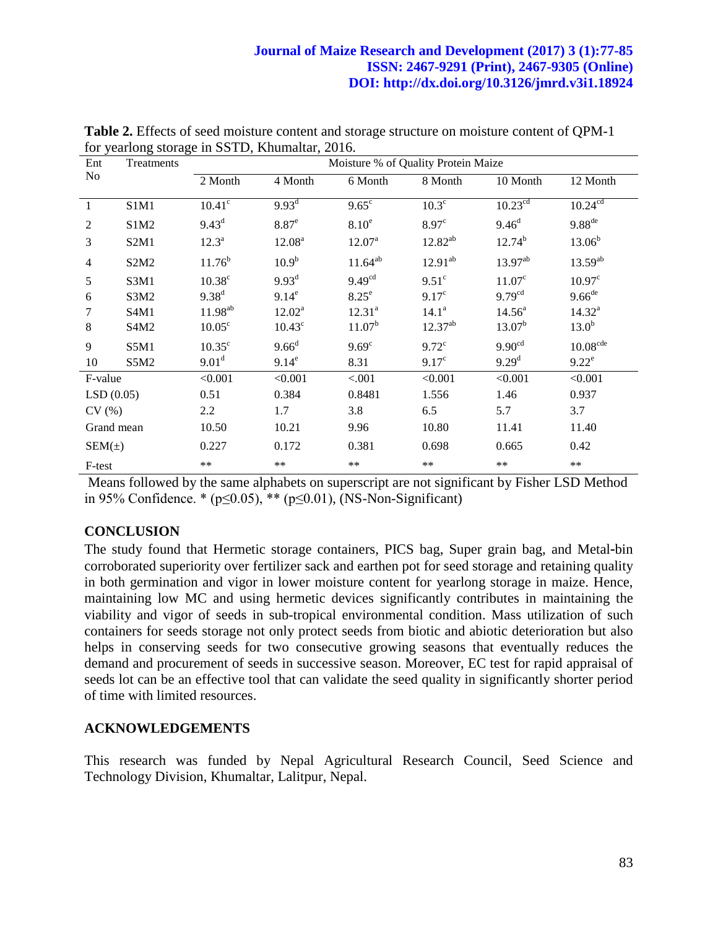| Ent            | Treatments                    | Moisture % of Quality Protein Maize |                     |                    |                   |                     |                      |  |
|----------------|-------------------------------|-------------------------------------|---------------------|--------------------|-------------------|---------------------|----------------------|--|
| N <sub>o</sub> |                               | 2 Month                             | 4 Month             | 6 Month            | 8 Month           | 10 Month            | 12 Month             |  |
| -1             | S1M1                          | $10.41^\circ$                       | $9.93^{\rm d}$      | $9.65^{\circ}$     | $10.3^\circ$      | 10.23 <sup>cd</sup> | 10.24 <sup>cd</sup>  |  |
| $\overline{2}$ | S1M2                          | $9.43^d$                            | $8.87$ <sup>e</sup> | 8.10 <sup>e</sup>  | 8.97 <sup>c</sup> | 9.46 <sup>d</sup>   | $9.88$ <sup>de</sup> |  |
| 3              | S <sub>2</sub> M <sub>1</sub> | $12.3^a$                            | 12.08 <sup>a</sup>  | $12.07^{\text{a}}$ | $12.82^{ab}$      | $12.74^{b}$         | $13.06^{b}$          |  |
| $\overline{4}$ | S <sub>2</sub> M <sub>2</sub> | $11.76^b$                           | $10.9^{b}$          | $11.64^{ab}$       | $12.91^{ab}$      | $13.97^{ab}$        | $13.59^{ab}$         |  |
| 5              | S3M1                          | 10.38 <sup>c</sup>                  | $9.93^d$            | 9.49 <sup>cd</sup> | $9.51^\circ$      | $11.07^{\circ}$     | 10.97 <sup>c</sup>   |  |
| 6              | S3M2                          | $9.38^{d}$                          | $9.14^e$            | $8.25^e$           | 9.17 <sup>c</sup> | 9.79 <sup>cd</sup>  | $9.66$ <sup>de</sup> |  |
| 7              | S4M1                          | $11.98^{ab}$                        | $12.02^a$           | 12.31 <sup>a</sup> | $14.1^a$          | $14.56^{\circ}$     | $14.32^{a}$          |  |
| 8              | S <sub>4</sub> M <sub>2</sub> | $10.05^{\circ}$                     | $10.43^{\circ}$     | 11.07 <sup>b</sup> | $12.37^{ab}$      | $13.07^{\rm b}$     | 13.0 <sup>b</sup>    |  |
| 9              | S5M1                          | $10.35^{\circ}$                     | $9.66^d$            | 9.69 <sup>c</sup>  | $9.72^{\circ}$    | 9.90 <sup>cd</sup>  | 10.08 <sup>cde</sup> |  |
| 10             | S5M2                          | 9.01 <sup>d</sup>                   | $9.14^e$            | 8.31               | 9.17 <sup>c</sup> | 9.29 <sup>d</sup>   | $9.22^e$             |  |
| F-value        |                               | < 0.001                             | < 0.001             | < .001             | < 0.001           | < 0.001             | < 0.001              |  |
| LSD(0.05)      |                               | 0.51                                | 0.384               | 0.8481             | 1.556             | 1.46                | 0.937                |  |
| CV(%)          |                               | 2.2                                 | 1.7                 | 3.8                | 6.5               | 5.7                 | 3.7                  |  |
| Grand mean     |                               | 10.50                               | 10.21               | 9.96               | 10.80             | 11.41               | 11.40                |  |
| $SEM(\pm)$     |                               | 0.227                               | 0.172               | 0.381              | 0.698             | 0.665               | 0.42                 |  |
| F-test         |                               | $***$                               | **                  | $***$              | **                | $***$               | **                   |  |

**Table 2.** Effects of seed moisture content and storage structure on moisture content of QPM-1 for yearlong storage in SSTD, Khumaltar, 2016.

Means followed by the same alphabets on superscript are not significant by Fisher LSD Method in 95% Confidence. \* (p≤0.05), \*\* (p≤0.01), (NS-Non-Significant)

# **CONCLUSION**

The study found that Hermetic storage containers, PICS bag, Super grain bag, and Metal-bin corroborated superiority over fertilizer sack and earthen pot for seed storage and retaining quality in both germination and vigor in lower moisture content for yearlong storage in maize. Hence, maintaining low MC and using hermetic devices significantly contributes in maintaining the viability and vigor of seeds in sub-tropical environmental condition. Mass utilization of such containers for seeds storage not only protect seeds from biotic and abiotic deterioration but also helps in conserving seeds for two consecutive growing seasons that eventually reduces the demand and procurement of seeds in successive season. Moreover, EC test for rapid appraisal of seeds lot can be an effective tool that can validate the seed quality in significantly shorter period of time with limited resources.

#### **ACKNOWLEDGEMENTS**

This research was funded by Nepal Agricultural Research Council, Seed Science and Technology Division, Khumaltar, Lalitpur, Nepal.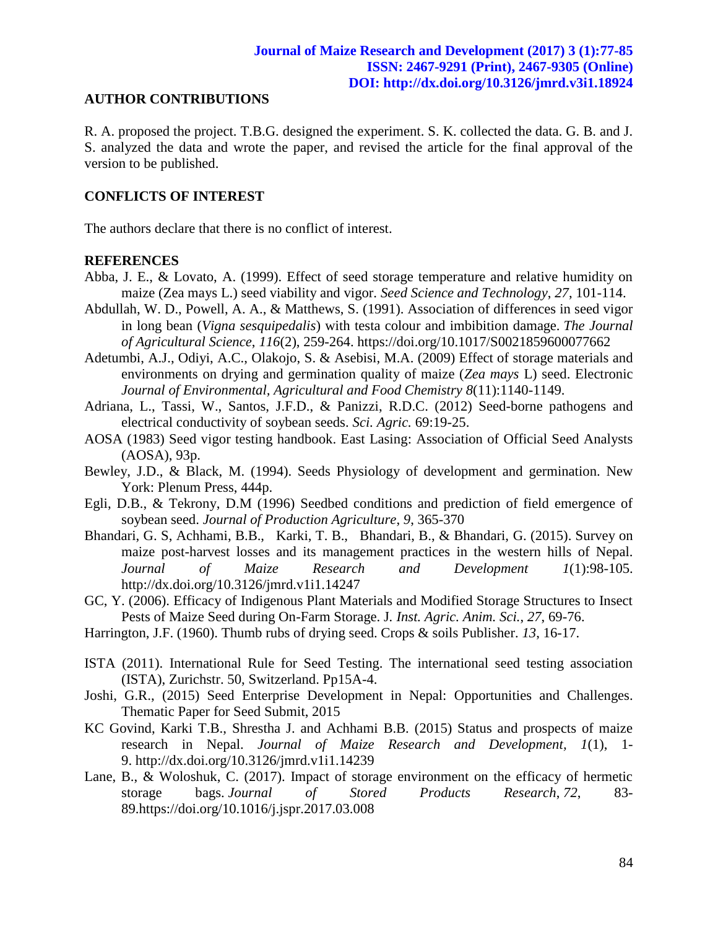#### **AUTHOR CONTRIBUTIONS**

R. A. proposed the project. T.B.G. designed the experiment. S. K. collected the data. G. B. and J. S. analyzed the data and wrote the paper, and revised the article for the final approval of the version to be published.

## **CONFLICTS OF INTEREST**

The authors declare that there is no conflict of interest.

#### **REFERENCES**

- Abba, J. E., & Lovato, A. (1999). Effect of seed storage temperature and relative humidity on maize (Zea mays L.) seed viability and vigor. *Seed Science and Technology*, *27*, 101-114.
- Abdullah, W. D., Powell, A. A., & Matthews, S. (1991). Association of differences in seed vigor in long bean (*Vigna sesquipedalis*) with testa colour and imbibition damage. *The Journal of Agricultural Science*, *116*(2), 259-264. https://doi.org/10.1017/S0021859600077662
- Adetumbi, A.J., Odiyi, A.C., Olakojo, S. & Asebisi, M.A. (2009) Effect of storage materials and environments on drying and germination quality of maize (*Zea mays* L) seed. Electronic *Journal of Environmental, Agricultural and Food Chemistry 8*(11):1140-1149.
- Adriana, L., Tassi, W., Santos, J.F.D., & Panizzi, R.D.C. (2012) Seed-borne pathogens and electrical conductivity of soybean seeds. *Sci. Agric.* 69:19-25.
- AOSA (1983) Seed vigor testing handbook. East Lasing: Association of Official Seed Analysts (AOSA), 93p.
- Bewley, J.D., & Black, M. (1994). Seeds Physiology of development and germination. New York: Plenum Press, 444p.
- Egli, D.B., & Tekrony, D.M (1996) Seedbed conditions and prediction of field emergence of soybean seed. *Journal of Production Agriculture*, *9*, 365-370
- Bhandari, G. S, Achhami, B.B., Karki, T. B., Bhandari, B., & Bhandari, G. (2015). Survey on maize post-harvest losses and its management practices in the western hills of Nepal. *Journal of Maize Research and Development 1*(1):98-105. <http://dx.doi.org/10.3126/jmrd.v1i1.14247>
- GC, Y. (2006). Efficacy of Indigenous Plant Materials and Modified Storage Structures to Insect Pests of Maize Seed during On-Farm Storage. J*. Inst. Agric. Anim. Sci.*, *27*, 69-76.
- Harrington, J.F. (1960). Thumb rubs of drying seed. Crops & soils Publisher. *13*, 16-17.
- ISTA (2011). International Rule for Seed Testing. The international seed testing association (ISTA), Zurichstr. 50, Switzerland. Pp15A-4.
- Joshi, G.R., (2015) Seed Enterprise Development in Nepal: Opportunities and Challenges. Thematic Paper for Seed Submit, 2015
- KC Govind, Karki T.B., Shrestha J. and Achhami B.B. (2015) Status and prospects of maize research in Nepal. *Journal of Maize Research and Development, 1*(1), 1- 9. <http://dx.doi.org/10.3126/jmrd.v1i1.14239>
- Lane, B., & Woloshuk, C. (2017). Impact of storage environment on the efficacy of hermetic storage bags. *Journal of Stored Products Research*, *72*, 83- 89[.https://doi.org/10.1016/j.jspr.2017.03.008](https://doi.org/10.1016/j.jspr.2017.03.008)